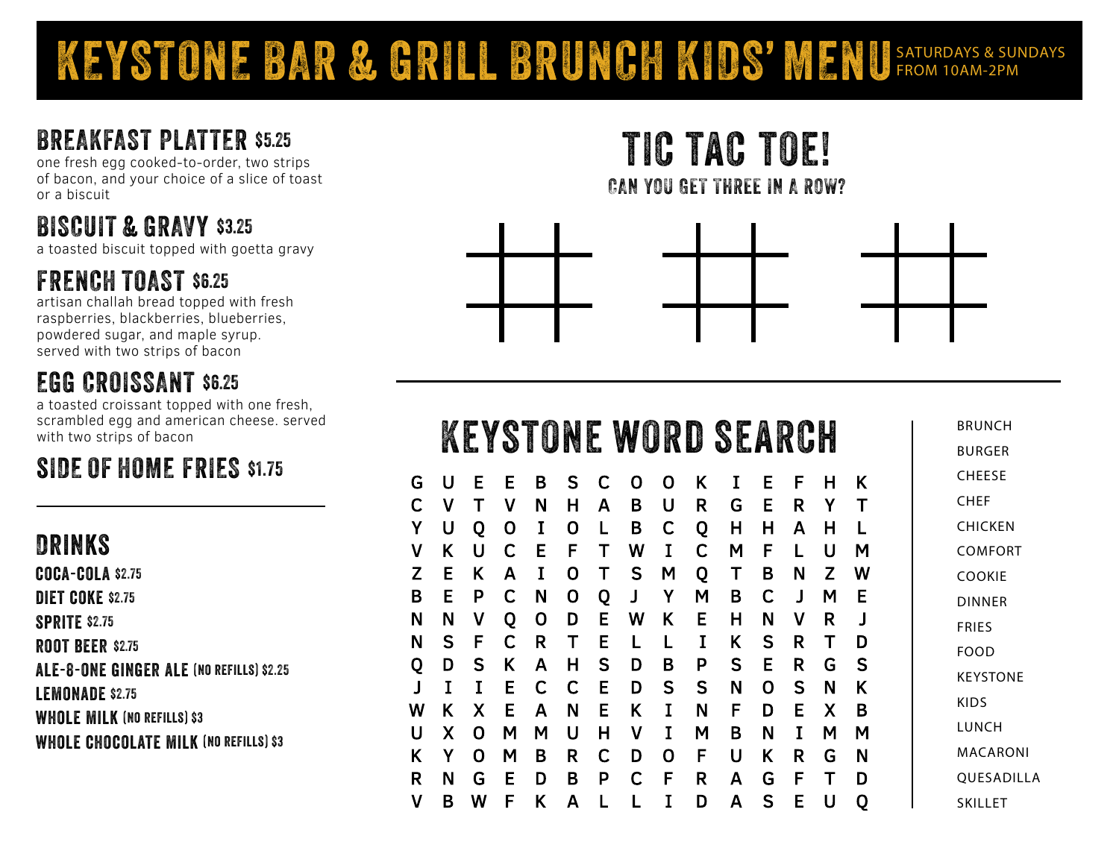### KEYSTONE BAR & GRILL BRUNCH KIDS' MENU SATURDAYS & SUNDAYS

#### BREAKFAST PLATTER \$5.25

one fresh egg cooked-to-order, two strips of bacon, and your choice of a slice of toast or a biscuit

### BISCUIT & GRAVY \$3.25

a toasted biscuit topped with goetta gravy

#### FRENCH TOAST \$6.25

artisan challah bread topped with fresh raspberries, blackberries, blueberries, powdered sugar, and maple syrup. served with two strips of bacon

#### EGG CROISSANT \$6.25

a toasted croissant topped with one fresh, scrambled egg and american cheese. served with two strips of bacon

### SIDE OF HOME FRIES \$1.75

#### Drinks

coca-cola \$2.75 DIET COKE \$2.75 SPRITE \$2.75

**ROOT BEER \$2.75** ale-8-one ginger ale (no refills) \$2.25 LEMONADE \$2.75 WHOLE MILK (NO REFILLS) \$3

WHOLE CHOCOLATE MILK (NO REFILLS) \$3

tic tac toe! CAN YOU GET THREE IN A ROW?



|   |                            |                            |                                               |                                                       |                                 |                                 |                                 |                                      |                                      |                                       |                                      |                                      |                                 |                            | <b>BRL</b>      |
|---|----------------------------|----------------------------|-----------------------------------------------|-------------------------------------------------------|---------------------------------|---------------------------------|---------------------------------|--------------------------------------|--------------------------------------|---------------------------------------|--------------------------------------|--------------------------------------|---------------------------------|----------------------------|-----------------|
|   |                            |                            |                                               |                                                       |                                 |                                 |                                 |                                      |                                      |                                       |                                      |                                      |                                 |                            | <b>BUF</b>      |
| U | Е                          | Е                          | B                                             | S                                                     | C                               | O                               | O                               |                                      | I                                    | E                                     | F                                    | н                                    | Κ                               |                            | CHE             |
| ۷ |                            | ۷                          | N                                             | Н                                                     | A                               | B                               | U                               | R                                    | G                                    | Е                                     | R                                    | Υ                                    | $\mathsf T$                     |                            | <b>CHE</b>      |
| U | Q                          | 0                          | I                                             | 0                                                     | L                               | В                               | C                               | Q                                    | н                                    | Н                                     | A                                    | Н                                    |                                 |                            | CHI             |
| Κ | U                          | C                          | Е                                             | F                                                     | Т                               | W                               | I                               | С                                    | М                                    | F                                     | L                                    | U                                    | м                               |                            | COI             |
| E | K                          | Α                          | I                                             | O                                                     | Τ                               | S                               | M                               | Q                                    | Т                                    | В                                     | Ν                                    | Z                                    | W                               |                            | CO <sub>0</sub> |
| E | P                          | C                          | N                                             | 0                                                     | Q                               | J                               | Y                               | М                                    | B                                    | C                                     | $\mathbf{I}$                         | М                                    | Е                               |                            | <b>DIN</b>      |
| N | ۷                          | Q                          | 0                                             | D                                                     | Е                               | W                               | K                               | E                                    | н                                    | N                                     | ۷                                    | R                                    |                                 |                            | FRII            |
|   |                            |                            |                                               |                                                       |                                 | $\mathbf{I}$                    | L                               |                                      |                                      |                                       |                                      |                                      | D                               |                            | <b>FOC</b>      |
|   |                            |                            |                                               |                                                       |                                 |                                 |                                 |                                      |                                      |                                       |                                      |                                      |                                 |                            | <b>KEY</b>      |
|   |                            |                            |                                               |                                                       |                                 |                                 |                                 |                                      |                                      |                                       |                                      |                                      |                                 |                            | <b>KID</b>      |
|   |                            |                            |                                               |                                                       |                                 |                                 |                                 |                                      |                                      |                                       |                                      |                                      |                                 |                            | LUN             |
|   |                            |                            |                                               |                                                       |                                 |                                 |                                 |                                      |                                      |                                       |                                      |                                      |                                 |                            | MA              |
|   |                            |                            |                                               |                                                       |                                 |                                 |                                 |                                      |                                      |                                       |                                      |                                      |                                 |                            | $\bigcap \Pi$   |
|   | S<br>D<br>Κ<br>Χ<br>Υ<br>N | F<br>S<br>X<br>O<br>O<br>r | ${\cal S}$<br>C<br>Κ<br>Е<br>E<br>M<br>M<br>Е | <b>White State</b><br>R<br>A<br>С<br>Α<br>М<br>В<br>n | Т<br>н<br>C<br>Ν<br>U<br>R<br>R | Е<br>S<br>Е<br>E<br>н<br>C<br>D | W<br>D<br>D<br>Κ<br>۷<br>D<br>r | R<br>0<br>B<br>S<br>I<br>I<br>O<br>Е | Κ<br>I<br>P<br>S<br>N<br>М<br>F<br>D | SE<br>Κ<br>S<br>N<br>F<br>B<br>U<br>Λ | Å<br>S<br>Е<br>O<br>D<br>N<br>K<br>C | R<br>R<br>R<br>S<br>E<br>I<br>R<br>c | т<br>G<br>N<br>X<br>M<br>G<br>┳ | S<br>Κ<br>В<br>М<br>Ν<br>ח |                 |

 $\mathbf{I}$ 

D

 $\mathsf{A}$ 

<sub>S</sub>

E

U

O

 $\mathsf{K}$ 

 $\mathbf{A}$ 

 $\mathbf v$ 

B

**JNCH** RGFR FESE EH CKEN **MFORT** OKIE **NER**  $F_S$ FOOD **STONE** S.  $VCH$ CARONI QUESADILLA SKILLET